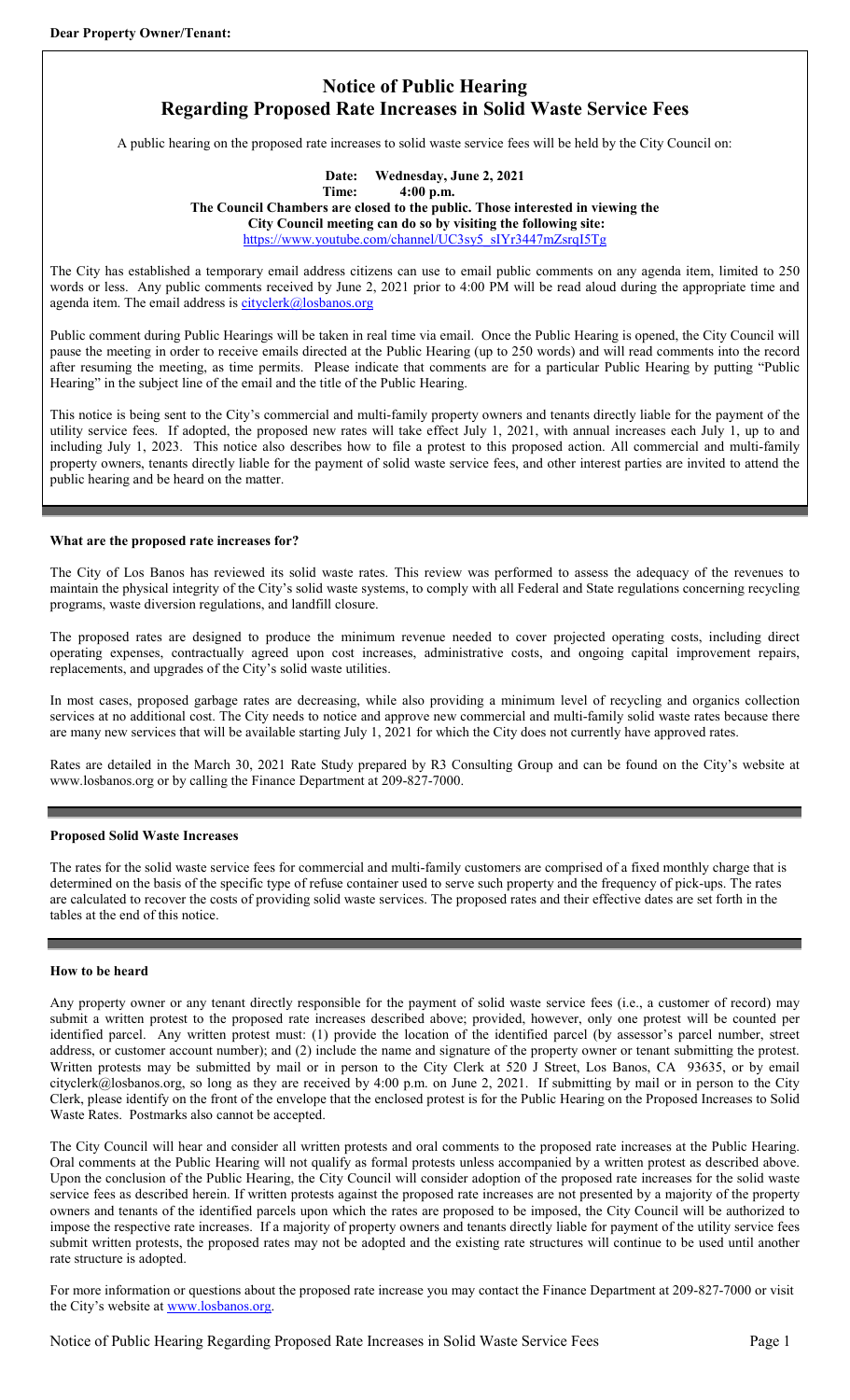# **Notice of Public Hearing Regarding Proposed Rate Increases in Solid Waste Service Fees**

A public hearing on the proposed rate increases to solid waste service fees will be held by the City Council on:

# **Date: Wednesday, June 2, 2021 Time: 4:00 p.m. The Council Chambers are closed to the public. Those interested in viewing the City Council meeting can do so by visiting the following site:** [https://www.youtube.com/channel/UC3sy5\\_sIYr3447mZsrqI5Tg](https://www.youtube.com/channel/UC3sy5_sIYr3447mZsrqI5Tg)

The City has established a temporary email address citizens can use to email public comments on any agenda item, limited to 250 words or less. Any public comments received by June 2, 2021 prior to 4:00 PM will be read aloud during the appropriate time and agenda item. The email address is  $cityclerk@losbanos.org$ 

Public comment during Public Hearings will be taken in real time via email. Once the Public Hearing is opened, the City Council will pause the meeting in order to receive emails directed at the Public Hearing (up to 250 words) and will read comments into the record after resuming the meeting, as time permits. Please indicate that comments are for a particular Public Hearing by putting "Public Hearing" in the subject line of the email and the title of the Public Hearing.

This notice is being sent to the City's commercial and multi-family property owners and tenants directly liable for the payment of the utility service fees. If adopted, the proposed new rates will take effect July 1, 2021, with annual increases each July 1, up to and including July 1, 2023. This notice also describes how to file a protest to this proposed action. All commercial and multi-family property owners, tenants directly liable for the payment of solid waste service fees, and other interest parties are invited to attend the public hearing and be heard on the matter.

## **What are the proposed rate increases for?**

The City of Los Banos has reviewed its solid waste rates. This review was performed to assess the adequacy of the revenues to maintain the physical integrity of the City's solid waste systems, to comply with all Federal and State regulations concerning recycling programs, waste diversion regulations, and landfill closure.

The proposed rates are designed to produce the minimum revenue needed to cover projected operating costs, including direct operating expenses, contractually agreed upon cost increases, administrative costs, and ongoing capital improvement repairs, replacements, and upgrades of the City's solid waste utilities.

In most cases, proposed garbage rates are decreasing, while also providing a minimum level of recycling and organics collection services at no additional cost. The City needs to notice and approve new commercial and multi-family solid waste rates because there are many new services that will be available starting July 1, 2021 for which the City does not currently have approved rates.

Rates are detailed in the March 30, 2021 Rate Study prepared by R3 Consulting Group and can be found on the City's website at www.losbanos.org or by calling the Finance Department at 209-827-7000.

## **Proposed Solid Waste Increases**

The rates for the solid waste service fees for commercial and multi-family customers are comprised of a fixed monthly charge that is determined on the basis of the specific type of refuse container used to serve such property and the frequency of pick-ups. The rates are calculated to recover the costs of providing solid waste services. The proposed rates and their effective dates are set forth in the tables at the end of this notice.

## **How to be heard**

Any property owner or any tenant directly responsible for the payment of solid waste service fees (i.e., a customer of record) may submit a written protest to the proposed rate increases described above; provided, however, only one protest will be counted per identified parcel. Any written protest must: (1) provide the location of the identified parcel (by assessor's parcel number, street address, or customer account number); and (2) include the name and signature of the property owner or tenant submitting the protest. Written protests may be submitted by mail or in person to the City Clerk at 520 J Street, Los Banos, CA 93635, or by email cityclerk@losbanos.org, so long as they are received by 4:00 p.m. on June 2, 2021. If submitting by mail or in person to the City Clerk, please identify on the front of the envelope that the enclosed protest is for the Public Hearing on the Proposed Increases to Solid Waste Rates. Postmarks also cannot be accepted.

The City Council will hear and consider all written protests and oral comments to the proposed rate increases at the Public Hearing. Oral comments at the Public Hearing will not qualify as formal protests unless accompanied by a written protest as described above. Upon the conclusion of the Public Hearing, the City Council will consider adoption of the proposed rate increases for the solid waste service fees as described herein. If written protests against the proposed rate increases are not presented by a majority of the property owners and tenants of the identified parcels upon which the rates are proposed to be imposed, the City Council will be authorized to impose the respective rate increases. If a majority of property owners and tenants directly liable for payment of the utility service fees submit written protests, the proposed rates may not be adopted and the existing rate structures will continue to be used until another rate structure is adopted.

For more information or questions about the proposed rate increase you may contact the Finance Department at 209-827-7000 or visit the City's website at [www.losbanos.org.](http://www.losbanos.org/)